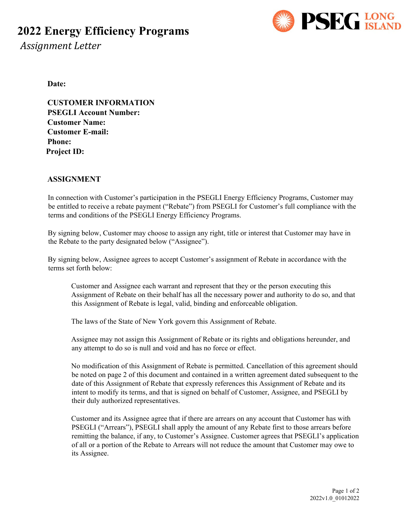## **2022 Energy Efficiency Programs**



 *Assignment Letter*

**Date:** 

**CUSTOMER INFORMATION PSEGLI Account Number: Customer Name: Customer E-mail: Phone: Project ID:** 

#### **ASSIGNMENT**

In connection with Customer's participation in the PSEGLI Energy Efficiency Programs, Customer may be entitled to receive a rebate payment ("Rebate") from PSEGLI for Customer's full compliance with the terms and conditions of the PSEGLI Energy Efficiency Programs.

By signing below, Customer may choose to assign any right, title or interest that Customer may have in the Rebate to the party designated below ("Assignee").

By signing below, Assignee agrees to accept Customer's assignment of Rebate in accordance with the terms set forth below:

Customer and Assignee each warrant and represent that they or the person executing this Assignment of Rebate on their behalf has all the necessary power and authority to do so, and that this Assignment of Rebate is legal, valid, binding and enforceable obligation.

The laws of the State of New York govern this Assignment of Rebate.

Assignee may not assign this Assignment of Rebate or its rights and obligations hereunder, and any attempt to do so is null and void and has no force or effect.

No modification of this Assignment of Rebate is permitted. Cancellation of this agreement should be noted on page 2 of this document and contained in a written agreement dated subsequent to the date of this Assignment of Rebate that expressly references this Assignment of Rebate and its intent to modify its terms, and that is signed on behalf of Customer, Assignee, and PSEGLI by their duly authorized representatives.

Customer and its Assignee agree that if there are arrears on any account that Customer has with PSEGLI ("Arrears"), PSEGLI shall apply the amount of any Rebate first to those arrears before remitting the balance, if any, to Customer's Assignee. Customer agrees that PSEGLI's application of all or a portion of the Rebate to Arrears will not reduce the amount that Customer may owe to its Assignee.